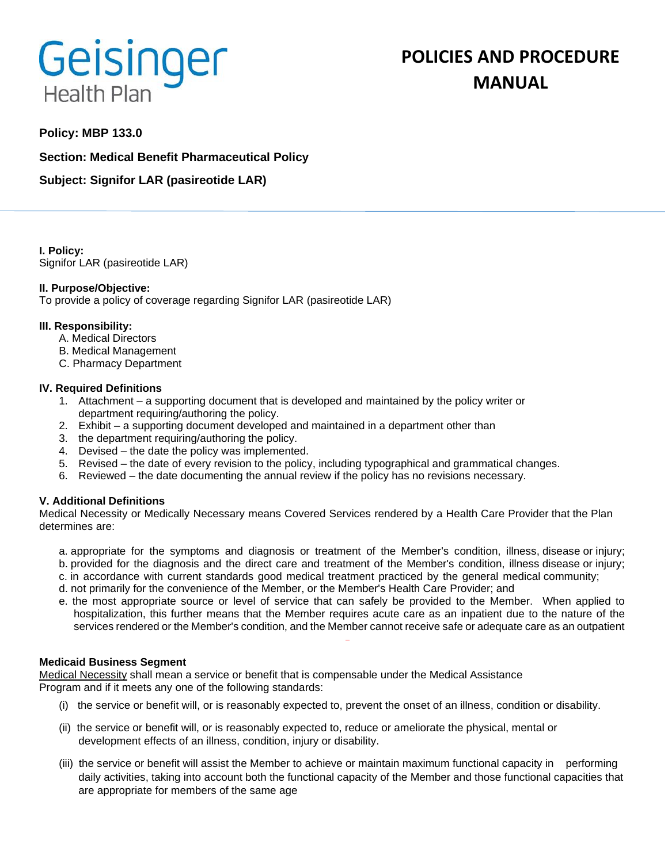# Geisinger **Health Plan**

# **POLICIES AND PROCEDURE MANUAL**

# **Policy: MBP 133.0**

**Section: Medical Benefit Pharmaceutical Policy**

**Subject: Signifor LAR (pasireotide LAR)** 

**I. Policy:** Signifor LAR (pasireotide LAR)

# **II. Purpose/Objective:**

To provide a policy of coverage regarding Signifor LAR (pasireotide LAR)

# **III. Responsibility:**

- A. Medical Directors
- B. Medical Management
- C. Pharmacy Department

#### **IV. Required Definitions**

- 1. Attachment a supporting document that is developed and maintained by the policy writer or department requiring/authoring the policy.
- 2. Exhibit a supporting document developed and maintained in a department other than
- 3. the department requiring/authoring the policy.
- 4. Devised the date the policy was implemented.
- 5. Revised the date of every revision to the policy, including typographical and grammatical changes.
- 6. Reviewed the date documenting the annual review if the policy has no revisions necessary.

# **V. Additional Definitions**

Medical Necessity or Medically Necessary means Covered Services rendered by a Health Care Provider that the Plan determines are:

- a. appropriate for the symptoms and diagnosis or treatment of the Member's condition, illness, disease or injury; b. provided for the diagnosis and the direct care and treatment of the Member's condition, illness disease or injury;
- c. in accordance with current standards good medical treatment practiced by the general medical community;
- d. not primarily for the convenience of the Member, or the Member's Health Care Provider; and
- e. the most appropriate source or level of service that can safely be provided to the Member. When applied to hospitalization, this further means that the Member requires acute care as an inpatient due to the nature of the services rendered or the Member's condition, and the Member cannot receive safe or adequate care as an outpatient

#### **Medicaid Business Segment**

Medical Necessity shall mean a service or benefit that is compensable under the Medical Assistance Program and if it meets any one of the following standards:

- (i) the service or benefit will, or is reasonably expected to, prevent the onset of an illness, condition or disability.
- (ii) the service or benefit will, or is reasonably expected to, reduce or ameliorate the physical, mental or development effects of an illness, condition, injury or disability.
- (iii) the service or benefit will assist the Member to achieve or maintain maximum functional capacity in performing daily activities, taking into account both the functional capacity of the Member and those functional capacities that are appropriate for members of the same age